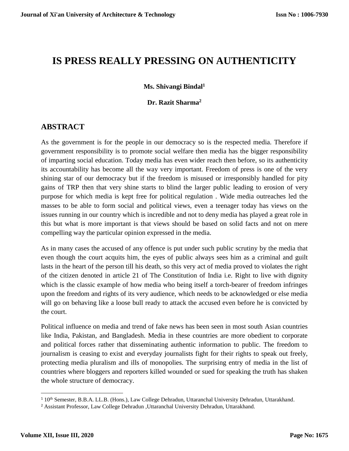# **IS PRESS REALLY PRESSING ON AUTHENTICITY**

#### **Ms. Shivangi Bindal<sup>1</sup>**

#### **Dr. Razit Sharma<sup>2</sup>**

### **ABSTRACT**

As the government is for the people in our democracy so is the respected media. Therefore if government responsibility is to promote social welfare then media has the bigger responsibility of imparting social education. Today media has even wider reach then before, so its authenticity its accountability has become all the way very important. Freedom of press is one of the very shining star of our democracy but if the freedom is misused or irresponsibly handled for pity gains of TRP then that very shine starts to blind the larger public leading to erosion of very purpose for which media is kept free for political regulation . Wide media outreaches led the masses to be able to form social and political views, even a teenager today has views on the issues running in our country which is incredible and not to deny media has played a great role in this but what is more important is that views should be based on solid facts and not on mere compelling way the particular opinion expressed in the media.

As in many cases the accused of any offence is put under such public scrutiny by the media that even though the court acquits him, the eyes of public always sees him as a criminal and guilt lasts in the heart of the person till his death, so this very act of media proved to violates the right of the citizen denoted in article 21 of The Constitution of India i.e. Right to live with dignity which is the classic example of how media who being itself a torch-bearer of freedom infringes upon the freedom and rights of its very audience, which needs to be acknowledged or else media will go on behaving like a loose bull ready to attack the accused even before he is convicted by the court.

Political influence on media and trend of fake news has been seen in most south Asian countries like India, Pakistan, and Bangladesh. Media in these countries are more obedient to corporate and political forces rather that disseminating authentic information to public. The freedom to journalism is ceasing to exist and everyday journalists fight for their rights to speak out freely, protecting media pluralism and ills of monopolies. The surprising entry of media in the list of countries where bloggers and reporters killed wounded or sued for speaking the truth has shaken the whole structure of democracy.

<sup>1</sup> 10th Semester, B.B.A. LL.B. (Hons.), Law College Dehradun, Uttaranchal University Dehradun, Uttarakhand*.*

<sup>2</sup> Assistant Professor, Law College Dehradun ,Uttaranchal University Dehradun, Uttarakhand.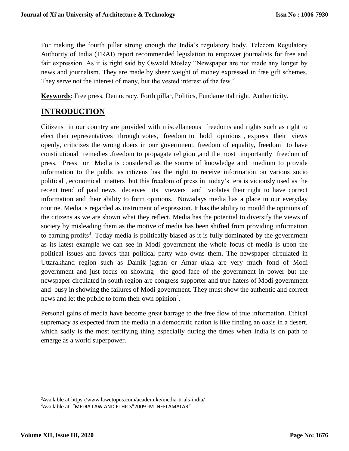For making the fourth pillar strong enough the India's regulatory body, Telecom Regulatory Authority of India (TRAI) report recommended legislation to empower journalists for free and fair expression. As it is right said by Oswald Mosley "Newspaper are not made any longer by news and journalism. They are made by sheer weight of money expressed in free gift schemes. They serve not the interest of many, but the vested interest of the few."

**Keywords**: Free press, Democracy, Forth pillar, Politics, Fundamental right, Authenticity.

### **INTRODUCTION**

Citizens in our country are provided with miscellaneous freedoms and rights such as right to elect their representatives through votes, freedom to hold opinions , express their views openly, criticizes the wrong doers in our government, freedom of equality, freedom to have constitutional remedies ,freedom to propagate religion ,and the most importantly freedom of press. Press or Media is considered as the source of knowledge and medium to provide information to the public as citizens has the right to receive information on various socio political , economical matters but this freedom of press in today's era is viciously used as the recent trend of paid news deceives its viewers and violates their right to have correct information and their ability to form opinions. Nowadays media has a place in our everyday routine. Media is regarded as instrument of expression. It has the ability to mould the opinions of the citizens as we are shown what they reflect. Media has the potential to diversify the views of society by misleading them as the motive of media has been shifted from providing information to earning profits<sup>3</sup>. Today media is politically biased as it is fully dominated by the government as its latest example we can see in Modi government the whole focus of media is upon the political issues and favors that political party who owns them. The newspaper circulated in Uttarakhand region such as Dainik jagran or Amar ujala are very much fond of Modi government and just focus on showing the good face of the government in power but the newspaper circulated in south region are congress supporter and true haters of Modi government and busy in showing the failures of Modi government. They must show the authentic and correct news and let the public to form their own opinion<sup>4</sup>.

Personal gains of media have become great barrage to the free flow of true information. Ethical supremacy as expected from the media in a democratic nation is like finding an oasis in a desert, which sadly is the most terrifying thing especially during the times when India is on path to emerge as a world superpower.

<sup>3</sup>Available at https://www.lawctopus.com/academike/media-trials-india/

<sup>4</sup>Available at "MEDIA LAW AND ETHICS"2009 -M. NEELAMALAR"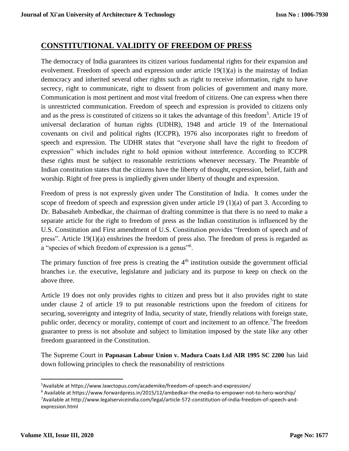### **CONSTITUTIONAL VALIDITY OF FREEDOM OF PRESS**

The democracy of India guarantees its citizen various fundamental rights for their expansion and evolvement. Freedom of speech and expression under article 19(1)(a) is the mainstay of Indian democracy and inherited several other rights such as right to receive information, right to have secrecy, right to communicate, right to dissent from policies of government and many more. Communication is most pertinent and most vital freedom of citizens. One can express when there is unrestricted communication. Freedom of speech and expression is provided to citizens only and as the press is constituted of citizens so it takes the advantage of this freedom<sup>5</sup>. Article 19 of universal declaration of human rights (UDHR), 1948 and article 19 of the International covenants on civil and political rights (ICCPR), 1976 also incorporates right to freedom of speech and expression. The UDHR states that "everyone shall have the right to freedom of expression" which includes right to hold opinion without interference. According to ICCPR these rights must be subject to reasonable restrictions whenever necessary. The Preamble of Indian constitution states that the citizens have the liberty of thought, expression, belief, faith and worship. Right of free press is impliedly given under liberty of thought and expression.

Freedom of press is not expressly given under The Constitution of India. It comes under the scope of freedom of speech and expression given under article 19 (1)(a) of part 3. According to Dr. Babasaheb Ambedkar, the chairman of drafting committee is that there is no need to make a separate article for the right to freedom of press as the Indian constitution is influenced by the U.S. Constitution and First amendment of U.S. Constitution provides "freedom of speech and of press". Article 19(1)(a) enshrines the freedom of press also. The freedom of press is regarded as a "species of which freedom of expression is a genus"<sup>6</sup>.

The primary function of free press is creating the  $4<sup>th</sup>$  institution outside the government official branches i.e. the executive, legislature and judiciary and its purpose to keep on check on the above three.

Article 19 does not only provides rights to citizen and press but it also provides right to state under clause 2 of article 19 to put reasonable restrictions upon the freedom of citizens for securing, sovereignty and integrity of India, security of state, friendly relations with foreign state, public order, decency or morality, contempt of court and incitement to an offence.<sup>7</sup>The freedom guarantee to press is not absolute and subject to limitation imposed by the state like any other freedom guaranteed in the Constitution.

The Supreme Court in **Papnasan Labour Union v. Madura Coats Ltd AIR 1995 SC 2200** has laid down following principles to check the reasonability of restrictions

 $\overline{a}$ 

<sup>5</sup>Available at https://www.lawctopus.com/academike/freedom-of-speech-and-expression/

<sup>6</sup> Available at https://www.forwardpress.in/2015/12/ambedkar-the-media-to-empower-not-to-hero-worship/ <sup>7</sup>Available at http://www.legalserviceindia.com/legal/article-572-constitution-of-india-freedom-of-speech-andexpression.html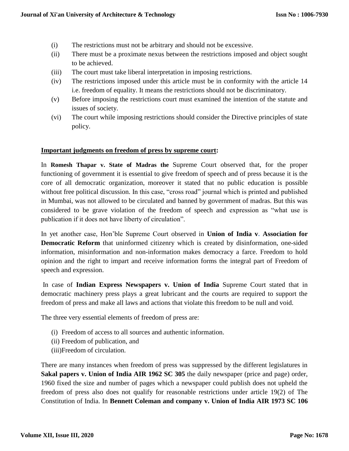- (i) The restrictions must not be arbitrary and should not be excessive.
- (ii) There must be a proximate nexus between the restrictions imposed and object sought to be achieved.
- (iii) The court must take liberal interpretation in imposing restrictions.
- (iv) The restrictions imposed under this article must be in conformity with the article 14 i.e. freedom of equality. It means the restrictions should not be discriminatory.
- (v) Before imposing the restrictions court must examined the intention of the statute and issues of society.
- (vi) The court while imposing restrictions should consider the Directive principles of state policy.

#### **Important judgments on freedom of press by supreme court:**

In **Romesh Thapar v. State of Madras the** Supreme Court observed that, for the proper functioning of government it is essential to give freedom of speech and of press because it is the core of all democratic organization, moreover it stated that no public education is possible without free political discussion. In this case, "cross road" journal which is printed and published in Mumbai, was not allowed to be circulated and banned by government of madras. But this was considered to be grave violation of the freedom of speech and expression as "what use is publication if it does not have liberty of circulation".

In yet another case, Hon'ble Supreme Court observed in **Union of India v. Association for Democratic Reform** that uninformed citizenry which is created by disinformation, one-sided information, misinformation and non-information makes democracy a farce. Freedom to hold opinion and the right to impart and receive information forms the integral part of Freedom of speech and expression.

In case of **Indian Express Newspapers v. Union of India** Supreme Court stated that in democratic machinery press plays a great lubricant and the courts are required to support the freedom of press and make all laws and actions that violate this freedom to be null and void.

The three very essential elements of freedom of press are:

- (i) Freedom of access to all sources and authentic information.
- (ii) Freedom of publication, and
- (iii)Freedom of circulation.

There are many instances when freedom of press was suppressed by the different legislatures in **Sakal papers v. Union of India AIR 1962 SC 305** the daily newspaper (price and page) order, 1960 fixed the size and number of pages which a newspaper could publish does not upheld the freedom of press also does not qualify for reasonable restrictions under article 19(2) of The Constitution of India. In **Bennett Coleman and company v. Union of India AIR 1973 SC 106**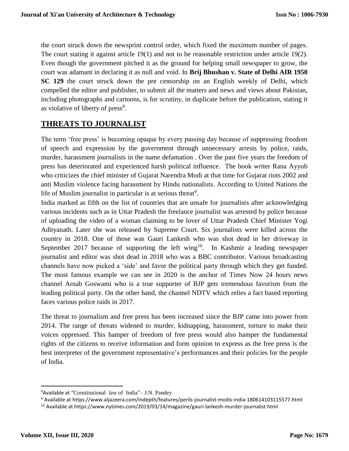the court struck down the newsprint control order, which fixed the maximum number of pages. The court stating it against article 19(1) and not to be reasonable restriction under article 19(2). Even though the government pitched it as the ground for helping small newspaper to grow, the court was adamant in declaring it as null and void. In **Brij Bhushan v. State of Delhi AIR 1950 SC 129** the court struck down the pre censorship on an English weekly of Delhi, which compelled the editor and publisher, to submit all the matters and news and views about Pakistan, including photographs and cartoons, is for scrutiny, in duplicate before the publication, stating it as violative of liberty of press<sup>8</sup>.

### **THREATS TO JOURNALIST**

The term 'free press' is becoming opaque by every passing day because of suppressing freedom of speech and expression by the government through unnecessary arrests by police, raids, murder, harassment journalists in the name defamation . Over the past five years the freedom of press has deteriorated and experienced harsh political influence. The book writer Rana Ayyub who criticizes the chief minister of Gujarat Narendra Modi at that time for Gujarat riots 2002 and anti Muslim violence facing harassment by Hindu nationalists. According to United Nations the life of Muslim journalist in particular is at serious threat<sup>9</sup>.

India marked as fifth on the list of countries that are unsafe for journalists after acknowledging various incidents such as in Uttar Pradesh the freelance journalist was arrested by police because of uploading the video of a woman claiming to be lover of Uttar Pradesh Chief Minister Yogi Adityanath. Later she was released by Supreme Court. Six journalists were killed across the country in 2018. One of those was Gauri Lankesh who was shot dead in her driveway in September 2017 because of supporting the left wing<sup>10</sup>. In Kashmir a leading newspaper journalist and editor was shot dead in 2018 who was a BBC contributor. Various broadcasting channels have now picked a 'side' and favor the political party through which they get funded. The most famous example we can see in 2020 is the anchor of Times Now 24 hours news channel Arnab Goswami who is a true supporter of BJP gets tremendous favorism from the leading political party. On the other hand, the channel NDTV which relies a fact based reporting faces various police raids in 2017.

The threat to journalism and free press has been increased since the BJP came into power from 2014. The range of threats widened to murder, kidnapping, harassment, torture to make their voices oppressed. This hamper of freedom of free press would also hamper the fundamental rights of the citizens to receive information and form opinion to express as the free press is the best interpreter of the government representative's performances and their policies for the people of India.

 $\overline{\phantom{a}}$ 

<sup>8</sup>Available at "Constitutional law of India"– J.N. Pandey

<sup>9</sup> Available at https://www.aljazeera.com/indepth/features/perils-journalist-modis-india-180614103115577.html

<sup>10</sup> Available at https://www.nytimes.com/2019/03/14/magazine/gauri-lankesh-murder-journalist.html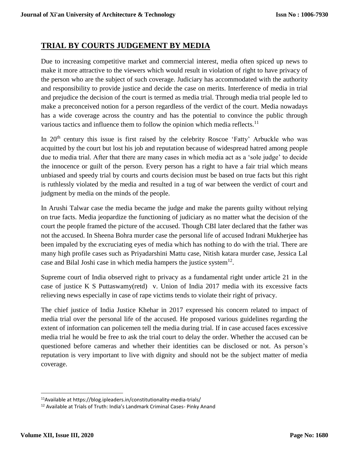### **TRIAL BY COURTS JUDGEMENT BY MEDIA**

Due to increasing competitive market and commercial interest, media often spiced up news to make it more attractive to the viewers which would result in violation of right to have privacy of the person who are the subject of such coverage. Judiciary has accommodated with the authority and responsibility to provide justice and decide the case on merits. Interference of media in trial and prejudice the decision of the court is termed as media trial. Through media trial people led to make a preconceived notion for a person regardless of the verdict of the court. Media nowadays has a wide coverage across the country and has the potential to convince the public through various tactics and influence them to follow the opinion which media reflects.<sup>11</sup>

In 20<sup>th</sup> century this issue is first raised by the celebrity Roscoe 'Fatty' Arbuckle who was acquitted by the court but lost his job and reputation because of widespread hatred among people due to media trial. After that there are many cases in which media act as a 'sole judge' to decide the innocence or guilt of the person. Every person has a right to have a fair trial which means unbiased and speedy trial by courts and courts decision must be based on true facts but this right is ruthlessly violated by the media and resulted in a tug of war between the verdict of court and judgment by media on the minds of the people.

In Arushi Talwar case the media became the judge and make the parents guilty without relying on true facts. Media jeopardize the functioning of judiciary as no matter what the decision of the court the people framed the picture of the accused. Though CBI later declared that the father was not the accused. In Sheena Bohra murder case the personal life of accused Indrani Mukherjee has been impaled by the excruciating eyes of media which has nothing to do with the trial. There are many high profile cases such as Priyadarshini Mattu case, Nitish katara murder case, Jessica Lal case and Bilal Joshi case in which media hampers the justice system $^{12}$ .

Supreme court of India observed right to privacy as a fundamental right under article 21 in the case of justice K S Puttaswamy(retd) v. Union of India 2017 media with its excessive facts relieving news especially in case of rape victims tends to violate their right of privacy.

The chief justice of India Justice Khehar in 2017 expressed his concern related to impact of media trial over the personal life of the accused. He proposed various guidelines regarding the extent of information can policemen tell the media during trial. If in case accused faces excessive media trial he would be free to ask the trial court to delay the order. Whether the accused can be questioned before cameras and whether their identities can be disclosed or not. As person's reputation is very important to live with dignity and should not be the subject matter of media coverage.

<sup>11</sup>Available at https://blog.ipleaders.in/constitutionality-media-trials/

<sup>&</sup>lt;sup>12</sup> Available at Trials of Truth: India's Landmark Criminal Cases- Pinky Anand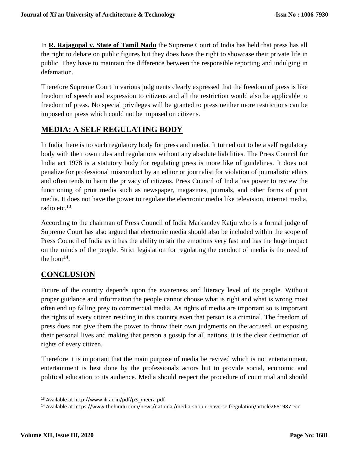In **R. Rajagopal v. State of Tamil Nadu** the Supreme Court of India has held that press has all the right to debate on public figures but they does have the right to showcase their private life in public. They have to maintain the difference between the responsible reporting and indulging in defamation.

Therefore Supreme Court in various judgments clearly expressed that the freedom of press is like freedom of speech and expression to citizens and all the restriction would also be applicable to freedom of press. No special privileges will be granted to press neither more restrictions can be imposed on press which could not be imposed on citizens.

# **MEDIA: A SELF REGULATING BODY**

In India there is no such regulatory body for press and media. It turned out to be a self regulatory body with their own rules and regulations without any absolute liabilities. The Press Council for India act 1978 is a statutory body for regulating press is more like of guidelines. It does not penalize for professional misconduct by an editor or journalist for violation of journalistic ethics and often tends to harm the privacy of citizens. Press Council of India has power to review the functioning of print media such as newspaper, magazines, journals, and other forms of print media. It does not have the power to regulate the electronic media like television, internet media, radio etc.<sup>13</sup>

According to the chairman of Press Council of India Markandey Katju who is a formal judge of Supreme Court has also argued that electronic media should also be included within the scope of Press Council of India as it has the ability to stir the emotions very fast and has the huge impact on the minds of the people. Strict legislation for regulating the conduct of media is the need of the hour<sup>14</sup>.

## **CONCLUSION**

Future of the country depends upon the awareness and literacy level of its people. Without proper guidance and information the people cannot choose what is right and what is wrong most often end up falling prey to commercial media. As rights of media are important so is important the rights of every citizen residing in this country even that person is a criminal. The freedom of press does not give them the power to throw their own judgments on the accused, or exposing their personal lives and making that person a gossip for all nations, it is the clear destruction of rights of every citizen.

Therefore it is important that the main purpose of media be revived which is not entertainment, entertainment is best done by the professionals actors but to provide social, economic and political education to its audience. Media should respect the procedure of court trial and should

<sup>13</sup> Available at http://www.ili.ac.in/pdf/p3\_meera.pdf

<sup>14</sup> Available at https://www.thehindu.com/news/national/media-should-have-selfregulation/article2681987.ece